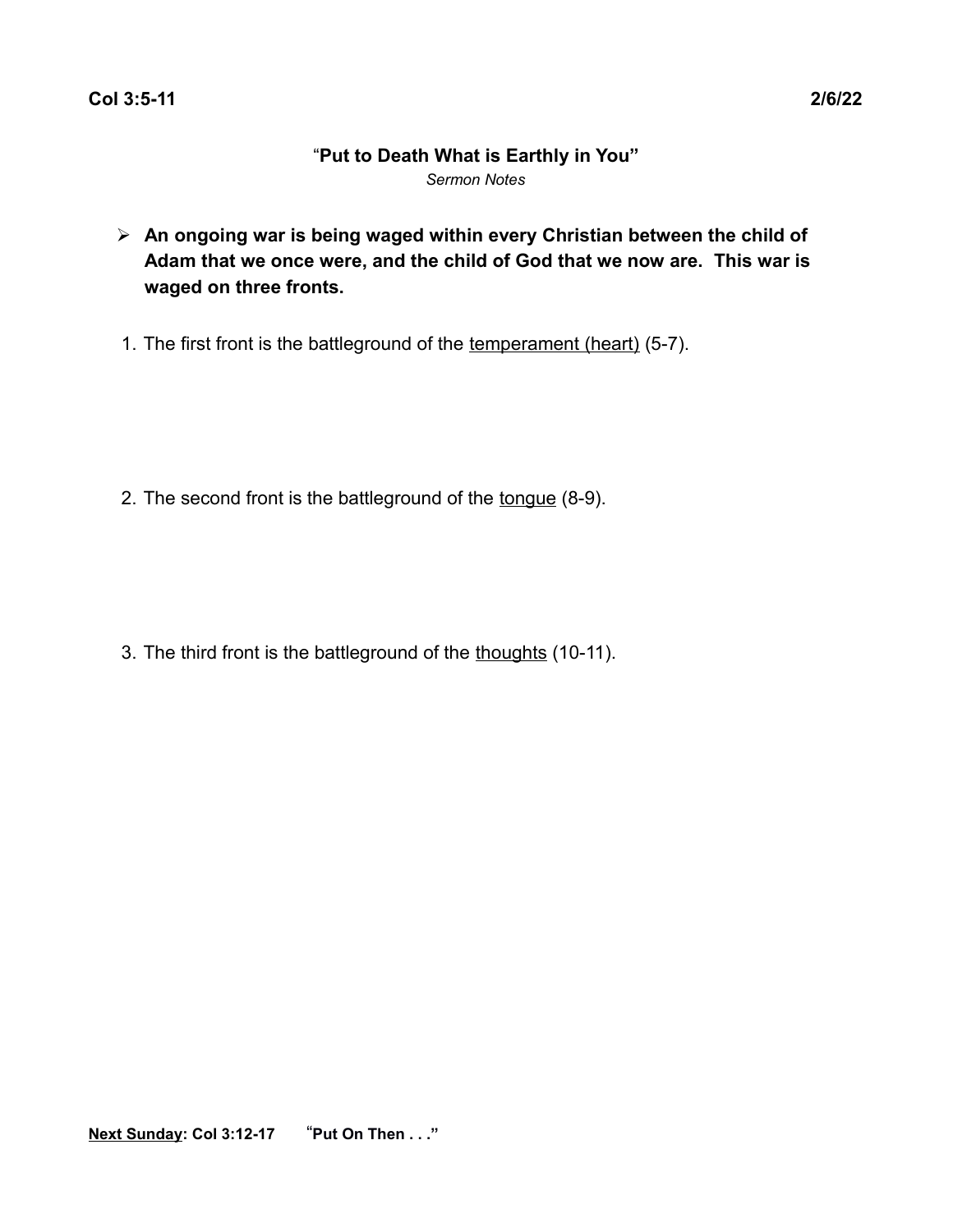# "**Put to Death What is Earthly in You"** *Sermon Notes*

- ➢ **An ongoing war is being waged within every Christian between the child of Adam that we once were, and the child of God that we now are. This war is waged on three fronts.**
- 1. The first front is the battleground of the temperament (heart) (5-7).

2. The second front is the battleground of the tongue (8-9).

3. The third front is the battleground of the thoughts (10-11).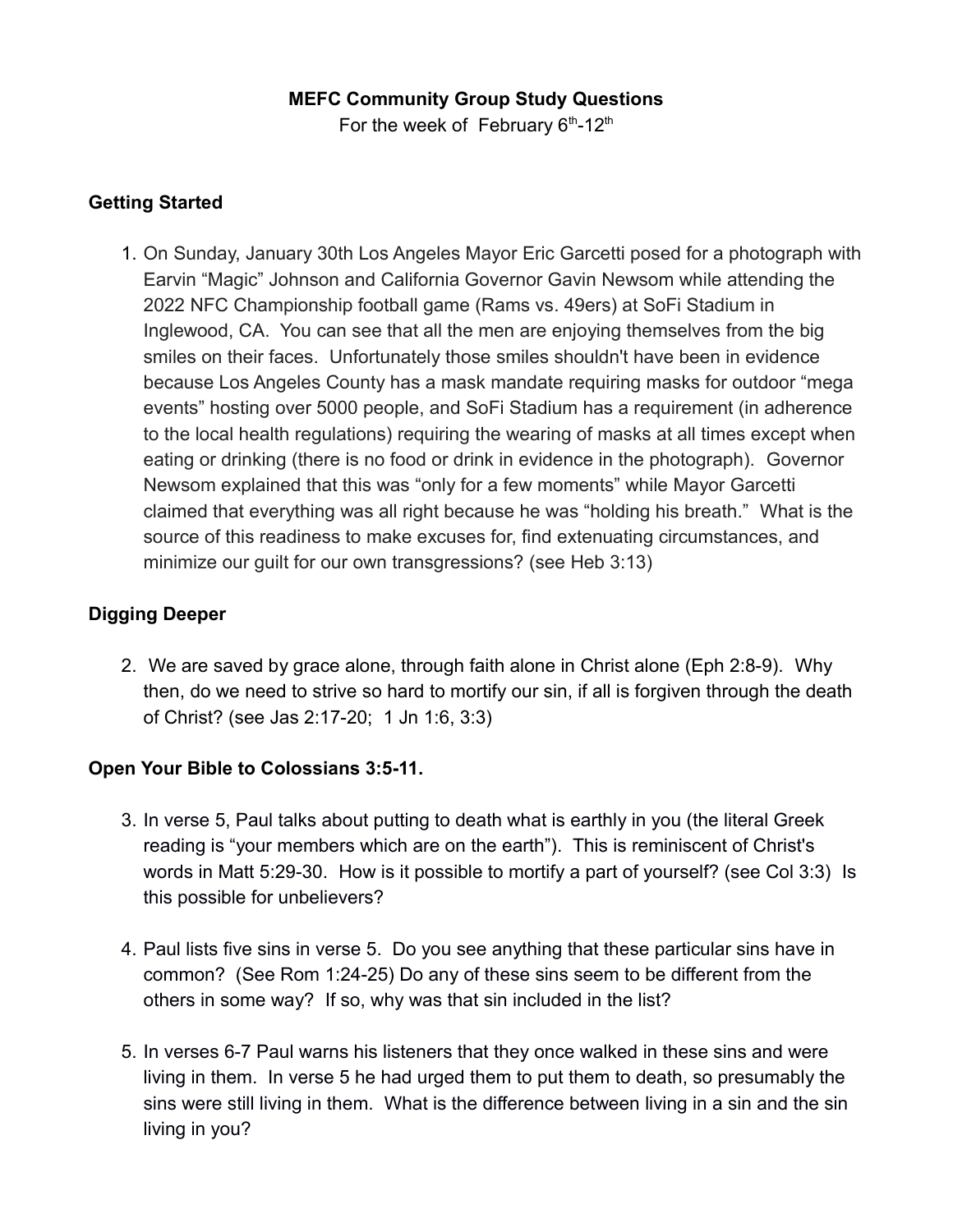### **MEFC Community Group Study Questions**

For the week of February  $6<sup>th</sup>$ -12<sup>th</sup>

### **Getting Started**

1. On Sunday, January 30th Los Angeles Mayor Eric Garcetti posed for a photograph with Earvin "Magic" Johnson and California Governor Gavin Newsom while attending the 2022 NFC Championship football game (Rams vs. 49ers) at SoFi Stadium in Inglewood, CA. You can see that all the men are enjoying themselves from the big smiles on their faces. Unfortunately those smiles shouldn't have been in evidence because Los Angeles County has a mask mandate requiring masks for outdoor "mega events" hosting over 5000 people, and SoFi Stadium has a requirement (in adherence to the local health regulations) requiring the wearing of masks at all times except when eating or drinking (there is no food or drink in evidence in the photograph). Governor Newsom explained that this was "only for a few moments" while Mayor Garcetti claimed that everything was all right because he was "holding his breath." What is the source of this readiness to make excuses for, find extenuating circumstances, and minimize our guilt for our own transgressions? (see Heb 3:13)

### **Digging Deeper**

2. We are saved by grace alone, through faith alone in Christ alone (Eph 2:8-9). Why then, do we need to strive so hard to mortify our sin, if all is forgiven through the death of Christ? (see Jas 2:17-20; 1 Jn 1:6, 3:3)

## **Open Your Bible to Colossians 3:5-11.**

- 3. In verse 5, Paul talks about putting to death what is earthly in you (the literal Greek reading is "your members which are on the earth"). This is reminiscent of Christ's words in Matt 5:29-30. How is it possible to mortify a part of yourself? (see Col 3:3) Is this possible for unbelievers?
- 4. Paul lists five sins in verse 5. Do you see anything that these particular sins have in common? (See Rom 1:24-25) Do any of these sins seem to be different from the others in some way? If so, why was that sin included in the list?
- 5. In verses 6-7 Paul warns his listeners that they once walked in these sins and were living in them. In verse 5 he had urged them to put them to death, so presumably the sins were still living in them. What is the difference between living in a sin and the sin living in you?